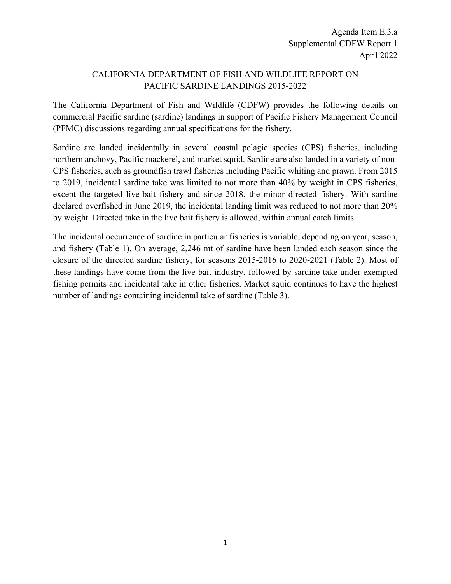## CALIFORNIA DEPARTMENT OF FISH AND WILDLIFE REPORT ON PACIFIC SARDINE LANDINGS 2015-2022

The California Department of Fish and Wildlife (CDFW) provides the following details on commercial Pacific sardine (sardine) landings in support of Pacific Fishery Management Council (PFMC) discussions regarding annual specifications for the fishery.

Sardine are landed incidentally in several coastal pelagic species (CPS) fisheries, including northern anchovy, Pacific mackerel, and market squid. Sardine are also landed in a variety of non-CPS fisheries, such as groundfish trawl fisheries including Pacific whiting and prawn. From 2015 to 2019, incidental sardine take was limited to not more than 40% by weight in CPS fisheries, except the targeted live-bait fishery and since 2018, the minor directed fishery. With sardine declared overfished in June 2019, the incidental landing limit was reduced to not more than 20% by weight. Directed take in the live bait fishery is allowed, within annual catch limits.

The incidental occurrence of sardine in particular fisheries is variable, depending on year, season, and fishery (Table 1). On average, 2,246 mt of sardine have been landed each season since the closure of the directed sardine fishery, for seasons 2015-2016 to 2020-2021 (Table 2). Most of these landings have come from the live bait industry, followed by sardine take under exempted fishing permits and incidental take in other fisheries. Market squid continues to have the highest number of landings containing incidental take of sardine (Table 3).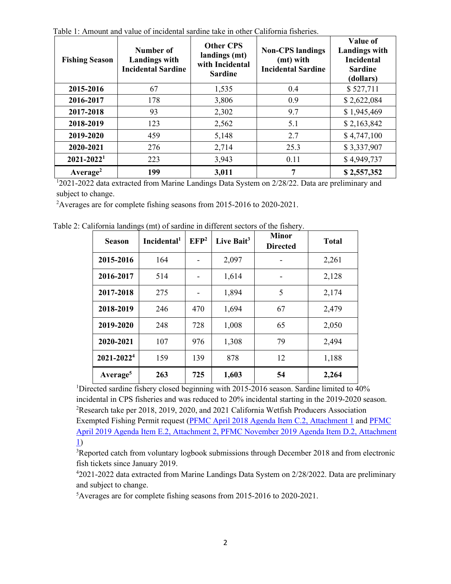| <b>Fishing Season</b>      | Number of<br><b>Landings with</b><br><b>Incidental Sardine</b> | <b>Other CPS</b><br>landings (mt)<br>with Incidental<br><b>Sardine</b> | <b>Non-CPS</b> landings<br>(mt) with<br><b>Incidental Sardine</b> | Value of<br><b>Landings with</b><br><b>Incidental</b><br><b>Sardine</b><br>(dollars) |
|----------------------------|----------------------------------------------------------------|------------------------------------------------------------------------|-------------------------------------------------------------------|--------------------------------------------------------------------------------------|
| 2015-2016                  | 67                                                             | 1,535                                                                  | 0.4                                                               | \$527,711                                                                            |
| 2016-2017                  | 178                                                            | 3,806                                                                  | 0.9                                                               | \$2,622,084                                                                          |
| 2017-2018                  | 93                                                             | 2,302                                                                  | 9.7                                                               | \$1,945,469                                                                          |
| 2018-2019                  | 123                                                            | 2,562                                                                  | 5.1                                                               | \$2,163,842                                                                          |
| 2019-2020                  | 459                                                            | 5,148                                                                  | 2.7                                                               | \$4,747,100                                                                          |
| 2020-2021                  | 276                                                            | 2,714                                                                  | 25.3                                                              | \$3,337,907                                                                          |
| $2021 - 2022$ <sup>1</sup> | 223                                                            | 3,943                                                                  | 0.11                                                              | \$4,949,737                                                                          |
| Average <sup>2</sup>       | 199                                                            | 3,011                                                                  | 7                                                                 | \$2,557,352                                                                          |

Table 1: Amount and value of incidental sardine take in other California fisheries.

<sup>1</sup>2021-2022 data extracted from Marine Landings Data System on 2/28/22. Data are preliminary and subject to change.

<sup>2</sup> Averages are for complete fishing seasons from 2015-2016 to 2020-2021.

| <b>Season</b>          | D- (----) --<br>Incidental <sup>1</sup> | EFP <sup>2</sup> | Live Bait <sup>3</sup> | <b>Minor</b><br><b>Directed</b> | <b>Total</b> |
|------------------------|-----------------------------------------|------------------|------------------------|---------------------------------|--------------|
| 2015-2016              | 164                                     |                  | 2,097                  |                                 | 2,261        |
| 2016-2017              | 514                                     |                  | 1,614                  |                                 | 2,128        |
| 2017-2018              | 275                                     | -                | 1,894                  | 5                               | 2,174        |
| 2018-2019              | 246                                     | 470              | 1,694                  | 67                              | 2,479        |
| 2019-2020              | 248                                     | 728              | 1,008                  | 65                              | 2,050        |
| 2020-2021              | 107                                     | 976              | 1,308                  | 79                              | 2,494        |
| 2021-2022 <sup>4</sup> | 159                                     | 139              | 878                    | 12                              | 1,188        |
| Average <sup>5</sup>   | 263                                     | 725              | 1,603                  | 54                              | 2,264        |

Table 2: California landings (mt) of sardine in different sectors of the fishery.

<sup>1</sup>Directed sardine fishery closed beginning with 2015-2016 season. Sardine limited to 40% incidental in CPS fisheries and was reduced to 20% incidental starting in the 2019-2020 season. <sup>2</sup>Research take per 2018, 2019, 2020, and 2021 California Wetfish Producers Association Exempted Fishing Permit request [\(PFMC April 2018 Agenda Item C.2, Attachment 1](https://www.pcouncil.org/documents/2018/04/agenda-item-c-2-attachment-1.pdf/) an[d PFMC](https://www.pcouncil.org/documents/2019/03/agenda-item-e-2-attachment-1-california-wetfish-producers-association-efp-proposal.pdf/)  [April 2019 Agenda Item E.2,](https://www.pcouncil.org/documents/2019/03/agenda-item-e-2-attachment-1-california-wetfish-producers-association-efp-proposal.pdf/) Attachment 2, [PFMC November 2019 Agenda Item D.2, Attachment](https://www.pcouncil.org/documents/2019/10/agenda-item-d-2-attachment-1-california-wetfish-producers-association-notice-of-intent-and-proposal-electronic-only.pdf/)  [1\)](https://www.pcouncil.org/documents/2019/10/agenda-item-d-2-attachment-1-california-wetfish-producers-association-notice-of-intent-and-proposal-electronic-only.pdf/)

<sup>3</sup>Reported catch from voluntary logbook submissions through December 2018 and from electronic fish tickets since January 2019.

4 2021-2022 data extracted from Marine Landings Data System on 2/28/2022. Data are preliminary and subject to change.

5 Averages are for complete fishing seasons from 2015-2016 to 2020-2021.